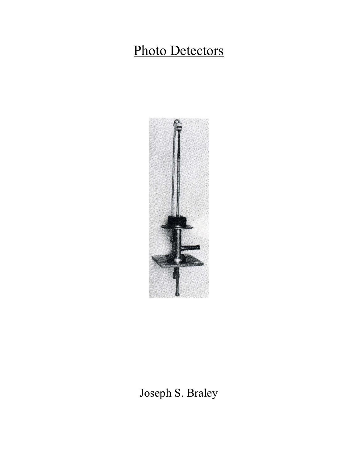# Photo Detectors



Joseph S. Braley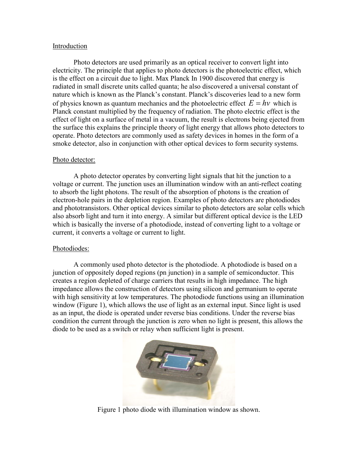#### Introduction

 Photo detectors are used primarily as an optical receiver to convert light into electricity. The principle that applies to photo detectors is the photoelectric effect, which is the effect on a circuit due to light. Max Planck In 1900 discovered that energy is radiated in small discrete units called quanta; he also discovered a universal constant of nature which is known as the Planck's constant. Planck's discoveries lead to a new form of physics known as quantum mechanics and the photoelectric effect  $E = hv$  which is Planck constant multiplied by the frequency of radiation. The photo electric effect is the effect of light on a surface of metal in a vacuum, the result is electrons being ejected from the surface this explains the principle theory of light energy that allows photo detectors to operate. Photo detectors are commonly used as safety devices in homes in the form of a smoke detector, also in conjunction with other optical devices to form security systems.

## Photo detector:

A photo detector operates by converting light signals that hit the junction to a voltage or current. The junction uses an illumination window with an anti-reflect coating to absorb the light photons. The result of the absorption of photons is the creation of electron-hole pairs in the depletion region. Examples of photo detectors are photodiodes and phototransistors. Other optical devices similar to photo detectors are solar cells which also absorb light and turn it into energy. A similar but different optical device is the LED which is basically the inverse of a photodiode, instead of converting light to a voltage or current, it converts a voltage or current to light.

## Photodiodes:

A commonly used photo detector is the photodiode. A photodiode is based on a junction of oppositely doped regions (pn junction) in a sample of semiconductor. This creates a region depleted of charge carriers that results in high impedance. The high impedance allows the construction of detectors using silicon and germanium to operate with high sensitivity at low temperatures. The photodiode functions using an illumination window (Figure 1), which allows the use of light as an external input. Since light is used as an input, the diode is operated under reverse bias conditions. Under the reverse bias condition the current through the junction is zero when no light is present, this allows the diode to be used as a switch or relay when sufficient light is present.



Figure 1 photo diode with illumination window as shown.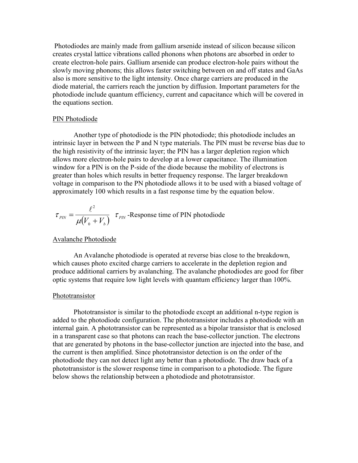Photodiodes are mainly made from gallium arsenide instead of silicon because silicon creates crystal lattice vibrations called phonons when photons are absorbed in order to create electron-hole pairs. Gallium arsenide can produce electron-hole pairs without the slowly moving phonons; this allows faster switching between on and off states and GaAs also is more sensitive to the light intensity. Once charge carriers are produced in the diode material, the carriers reach the junction by diffusion. Important parameters for the photodiode include quantum efficiency, current and capacitance which will be covered in the equations section.

#### PIN Photodiode

Another type of photodiode is the PIN photodiode; this photodiode includes an intrinsic layer in between the P and N type materials. The PIN must be reverse bias due to the high resistivity of the intrinsic layer; the PIN has a larger depletion region which allows more electron-hole pairs to develop at a lower capacitance. The illumination window for a PIN is on the P-side of the diode because the mobility of electrons is greater than holes which results in better frequency response. The larger breakdown voltage in comparison to the PN photodiode allows it to be used with a biased voltage of approximately 100 which results in a fast response time by the equation below.

$$
\tau_{\text{PIN}} = \frac{\ell^2}{\mu (V_0 + V_b)} \tau_{\text{PIN}}
$$
-Response time of PIN photodiode

#### Avalanche Photodiode

 An Avalanche photodiode is operated at reverse bias close to the breakdown, which causes photo excited charge carriers to accelerate in the depletion region and produce additional carriers by avalanching. The avalanche photodiodes are good for fiber optic systems that require low light levels with quantum efficiency larger than 100%.

#### Phototransistor

Phototransistor is similar to the photodiode except an additional n-type region is added to the photodiode configuration. The phototransistor includes a photodiode with an internal gain. A phototransistor can be represented as a bipolar transistor that is enclosed in a transparent case so that photons can reach the base-collector junction. The electrons that are generated by photons in the base-collector junction are injected into the base, and the current is then amplified. Since phototransistor detection is on the order of the photodiode they can not detect light any better than a photodiode. The draw back of a phototransistor is the slower response time in comparison to a photodiode. The figure below shows the relationship between a photodiode and phototransistor.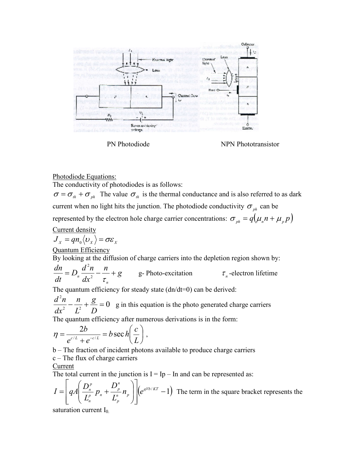

PN Photodiode NPN Phototransistor

Photodiode Equations:

The conductivity of photodiodes is as follows:

 $\sigma = \sigma_{th} + \sigma_{ph}$  The value  $\sigma_{th}$  is the thermal conductance and is also referred to as dark current when no light hits the junction. The photodiode conductivity  $\sigma_{nk}$  can be represented by the electron hole charge carrier concentrations:  $\sigma_{ph} = q(\mu_n n + \mu_p p)$ Current density

$$
\overline{J}_x = q n_0 \langle \nu_x \rangle = \sigma \varepsilon_x
$$

Quantum Efficiency

By looking at the diffusion of charge carriers into the depletion region shown by:

g n dx  $d^2n$  $\overline{D}$ dt dn n  $= D_n \frac{a_n}{dx^2} - \frac{n}{\tau} +$ 2 g- Photo-excitation  $\tau_n$ -electron lifetime

The quantum efficiency for steady state (dn/dt=0) can be derived:

 $\frac{n}{2} - \frac{n}{l^2} + \frac{6}{D} = 0$ 2  $-\frac{n}{2} + \frac{6}{5} =$ D g L n dx  $d^2n$ g in this equation is the photo generated charge carriers

The quantum efficiency after numerous derivations is in the form:

$$
\eta = \frac{2b}{e^{c/L} + e^{-c/L}} = b \sec h \left( \frac{c}{L} \right),
$$

b – The fraction of incident photons available to produce charge carriers c – The flux of charge carriers

## Current

The total current in the junction is  $I = Ip - In$  and can be represented as:

$$
I = \left[ qA \left( \frac{D_n^p}{L_n^p} p_n + \frac{D_p^p}{L_p^p} n_p \right) \right] \left( e^{qVb/KT} - 1 \right)
$$
 The term in the square bracket represents the

saturation current  $I_0$ .